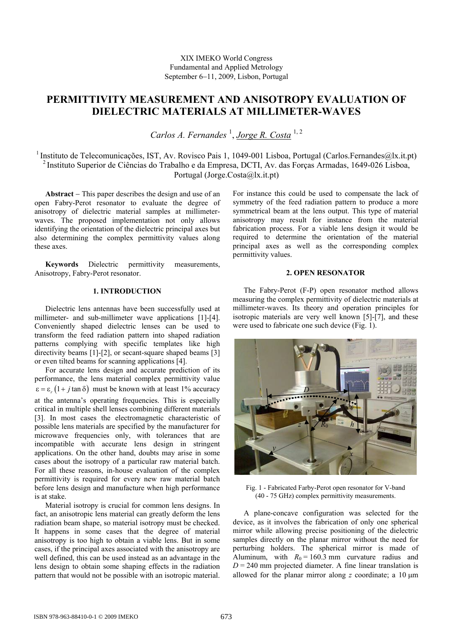# **PERMITTIVITY MEASUREMENT AND ANISOTROPY EVALUATION OF DIELECTRIC MATERIALS AT MILLIMETER-WAVES**

Carlos A. Fernandes<sup>1</sup>, *Jorge R. Costa*<sup>1,2</sup>

<sup>1</sup> Instituto de Telecomunicações, IST, Av. Rovisco Pais 1, 1049-001 Lisboa, Portugal (Carlos.Fernandes@lx.it.pt) 2 Instituto Superior de Ciências do Trabalho e da Empresa, DCTI, Av. das Forças Armadas, 1649-026 Lisboa, Portugal (Jorge.Costa@lx.it.pt)

**Abstract** − This paper describes the design and use of an open Fabry-Perot resonator to evaluate the degree of anisotropy of dielectric material samples at millimeterwaves. The proposed implementation not only allows identifying the orientation of the dielectric principal axes but also determining the complex permittivity values along these axes.

**Keywords** Dielectric permittivity measurements, Anisotropy, Fabry-Perot resonator.

# **1. INTRODUCTION**

Dielectric lens antennas have been successfully used at millimeter- and sub-millimeter wave applications [1]-[4]. Conveniently shaped dielectric lenses can be used to transform the feed radiation pattern into shaped radiation patterns complying with specific templates like high directivity beams [1]-[2], or secant-square shaped beams [3] or even tilted beams for scanning applications [4].

For accurate lens design and accurate prediction of its performance, the lens material complex permittivity value  $\epsilon = \epsilon_r (1 + j \tan \delta)$  must be known with at least 1% accuracy at the antenna's operating frequencies. This is especially critical in multiple shell lenses combining different materials [3]. In most cases the electromagnetic characteristic of possible lens materials are specified by the manufacturer for microwave frequencies only, with tolerances that are incompatible with accurate lens design in stringent applications. On the other hand, doubts may arise in some cases about the isotropy of a particular raw material batch. For all these reasons, in-house evaluation of the complex permittivity is required for every new raw material batch before lens design and manufacture when high performance is at stake.

Material isotropy is crucial for common lens designs. In fact, an anisotropic lens material can greatly deform the lens radiation beam shape, so material isotropy must be checked. It happens in some cases that the degree of material anisotropy is too high to obtain a viable lens. But in some cases, if the principal axes associated with the anisotropy are well defined, this can be used instead as an advantage in the lens design to obtain some shaping effects in the radiation pattern that would not be possible with an isotropic material. For instance this could be used to compensate the lack of symmetry of the feed radiation pattern to produce a more symmetrical beam at the lens output. This type of material anisotropy may result for instance from the material fabrication process. For a viable lens design it would be required to determine the orientation of the material principal axes as well as the corresponding complex permittivity values.

# **2. OPEN RESONATOR**

The Fabry-Perot (F-P) open resonator method allows measuring the complex permittivity of dielectric materials at millimeter-waves. Its theory and operation principles for isotropic materials are very well known [5]-[7], and these were used to fabricate one such device (Fig. 1).



Fig. 1 - Fabricated Farby-Perot open resonator for V-band (40 - 75 GHz) complex permittivity measurements.

A plane-concave configuration was selected for the device, as it involves the fabrication of only one spherical mirror while allowing precise positioning of the dielectric samples directly on the planar mirror without the need for perturbing holders. The spherical mirror is made of Aluminum, with  $R_0 = 160.3$  mm curvature radius and  $D = 240$  mm projected diameter. A fine linear translation is allowed for the planar mirror along *z* coordinate; a 10 μm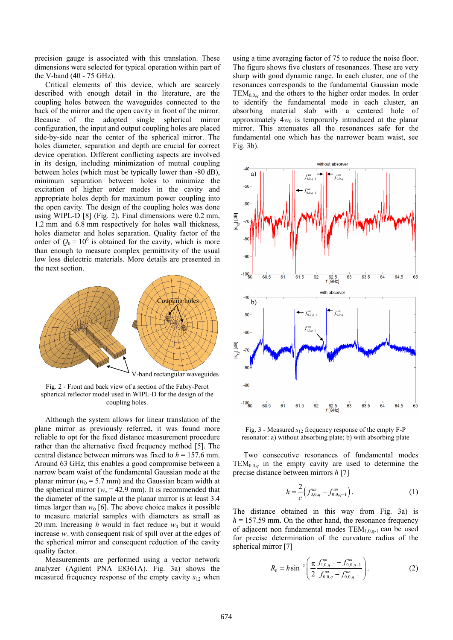precision gauge is associated with this translation. These dimensions were selected for typical operation within part of the V-band (40 - 75 GHz).

Critical elements of this device, which are scarcely described with enough detail in the literature, are the coupling holes between the waveguides connected to the back of the mirror and the open cavity in front of the mirror. Because of the adopted single spherical mirror configuration, the input and output coupling holes are placed side-by-side near the center of the spherical mirror. The holes diameter, separation and depth are crucial for correct device operation. Different conflicting aspects are involved in its design, including minimization of mutual coupling between holes (which must be typically lower than -80 dB), minimum separation between holes to minimize the excitation of higher order modes in the cavity and appropriate holes depth for maximum power coupling into the open cavity. The design of the coupling holes was done using WIPL-D [8] (Fig. 2). Final dimensions were 0.2 mm, 1.2 mm and 6.8 mm respectively for holes wall thickness, holes diameter and holes separation. Quality factor of the order of  $Q_0 = 10^6$  is obtained for the cavity, which is more than enough to measure complex permittivity of the usual low loss dielectric materials. More details are presented in the next section.



Fig. 2 - Front and back view of a section of the Fabry-Perot spherical reflector model used in WIPL-D for the design of the coupling holes.

Although the system allows for linear translation of the plane mirror as previously referred, it was found more reliable to opt for the fixed distance measurement procedure rather than the alternative fixed frequency method [5]. The central distance between mirrors was fixed to *h* = 157.6 mm. Around 63 GHz, this enables a good compromise between a narrow beam waist of the fundamental Gaussian mode at the planar mirror ( $w_0$  = 5.7 mm) and the Gaussian beam width at the spherical mirror ( $w_z$  = 42.9 mm). It is recommended that the diameter of the sample at the planar mirror is at least 3.4 times larger than  $w_0$  [6]. The above choice makes it possible to measure material samples with diameters as small as 20 mm. Increasing  $h$  would in fact reduce  $w_0$  but it would increase *wz* with consequent risk of spill over at the edges of the spherical mirror and consequent reduction of the cavity quality factor.

Measurements are performed using a vector network analyzer (Agilent PNA E8361A). Fig. 3a) shows the measured frequency response of the empty cavity  $s_{12}$  when

using a time averaging factor of 75 to reduce the noise floor. The figure shows five clusters of resonances. These are very sharp with good dynamic range. In each cluster, one of the resonances corresponds to the fundamental Gaussian mode TEM<sub>0.0,*q*</sub> and the others to the higher order modes. In order to identify the fundamental mode in each cluster, an absorbing material slab with a centered hole of approximately  $4w_0$  is temporarily introduced at the planar mirror. This attenuates all the resonances safe for the fundamental one which has the narrower beam waist, see Fig. 3b).



Fig. 3 - Measured *s*12 frequency response of the empty F-P resonator: a) without absorbing plate; b) with absorbing plate

Two consecutive resonances of fundamental modes TEM<sub>0,0,*q*</sub> in the empty cavity are used to determine the precise distance between mirrors *h* [7]

$$
h = \frac{2}{c} \Big( f_{0,0,q}^{un} - f_{0,0,q-1}^{un} \Big). \tag{1}
$$

The distance obtained in this way from Fig. 3a) is  $h = 157.59$  mm. On the other hand, the resonance frequency of adjacent non fundamental modes  $TEM_{1,0,q-1}$  can be used for precise determination of the curvature radius of the spherical mirror [7]

$$
R_0 = h \sin^{-2} \left( \frac{\pi}{2} \frac{f_{1,0,q-1}^{un} - f_{0,0,q-1}^{un}}{f_{0,0,q}^{un} - f_{0,0,q-1}^{un}} \right). \tag{2}
$$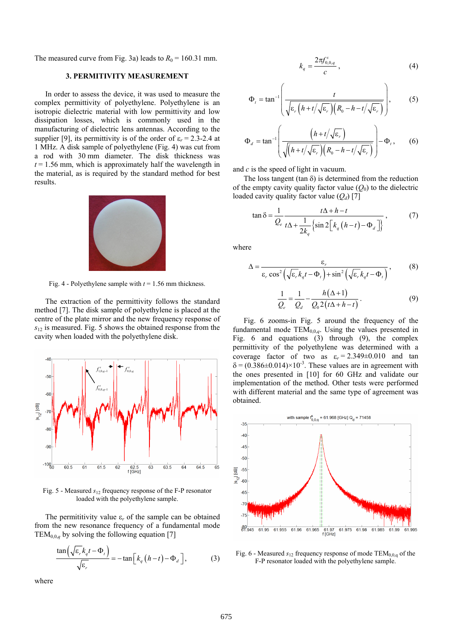The measured curve from Fig. 3a) leads to  $R_0 = 160.31$  mm.

## **3. PERMITIVITY MEASUREMENT**

In order to assess the device, it was used to measure the complex permittivity of polyethylene. Polyethylene is an isotropic dielectric material with low permittivity and low dissipation losses, which is commonly used in the manufacturing of dielectric lens antennas. According to the supplier [9], its permittivity is of the order of  $\varepsilon_r = 2.3$ -2.4 at 1 MHz. A disk sample of polyethylene (Fig. 4) was cut from a rod with 30 mm diameter. The disk thickness was  $t = 1.56$  mm, which is approximately half the wavelength in the material, as is required by the standard method for best results.



Fig. 4 - Polyethylene sample with *t* = 1.56 mm thickness.

The extraction of the permittivity follows the standard method [7]. The disk sample of polyethylene is placed at the centre of the plate mirror and the new frequency response of *s*12 is measured. Fig. 5 shows the obtained response from the cavity when loaded with the polyethylene disk.



Fig. 5 - Measured *s*12 frequency response of the F-P resonator loaded with the polyethylene sample.

The permititivity value  $\varepsilon_r$  of the sample can be obtained from the new resonance frequency of a fundamental mode TEM<sub>0,0,*q*</sub> by solving the following equation [7]

$$
\frac{\tan\left(\sqrt{\varepsilon_r}k_qt-\Phi_t\right)}{\sqrt{\varepsilon_r}} = -\tan\left[k_q\left(h-t\right)-\Phi_d\right],\tag{3}
$$

where

$$
k_q = \frac{2\pi f_{0,0,q}^s}{c} \,,\tag{4}
$$

$$
\Phi_{t} = \tan^{-1} \left( \frac{t}{\sqrt{\varepsilon_{r} \left( h + t/\sqrt{\varepsilon_{r}} \right) \left( R_{0} - h - t/\sqrt{\varepsilon_{r}} \right)}} \right), \quad (5)
$$

$$
\Phi_d = \tan^{-1} \left( \frac{\left( h + t/\sqrt{\varepsilon_r} \right)}{\sqrt{\left( h + t/\sqrt{\varepsilon_r} \right) \left( R_0 - h - t/\sqrt{\varepsilon_r} \right)}} \right) - \Phi_t, \qquad (6)
$$

and *c* is the speed of light in vacuum.

The loss tangent (tan  $\delta$ ) is determined from the reduction of the empty cavity quality factor value  $(Q_0)$  to the dielectric loaded cavity quality factor value (*Qd*) [7]

$$
\tan \delta = \frac{1}{Q_e} \frac{t\Delta + h - t}{t\Delta + \frac{1}{2k_q} \left\{ \sin 2 \left[ k_q \left( h - t \right) - \Phi_d \right] \right\}},\tag{7}
$$

where

$$
\Delta = \frac{\varepsilon_r}{\varepsilon_r \cos^2\left(\sqrt{\varepsilon_r} k_q t - \Phi_t\right) + \sin^2\left(\sqrt{\varepsilon_r} k_q t - \Phi_t\right)},\tag{8}
$$

$$
\frac{1}{Q_e} = \frac{1}{Q_d} - \frac{h(\Delta + 1)}{Q_0 2(t\Delta + h - t)}.
$$
\n(9)

Fig. 6 zooms-in Fig. 5 around the frequency of the fundamental mode  $TEM_{0,0,q}$ . Using the values presented in Fig. 6 and equations (3) through (9), the complex permittivity of the polyethylene was determined with a coverage factor of two as  $\varepsilon_r = 2.349 \pm 0.010$  and tan  $\delta = (0.386 \pm 0.014) \times 10^{-3}$ . These values are in agreement with the ones presented in [10] for 60 GHz and validate our implementation of the method. Other tests were performed with different material and the same type of agreement was obtained.



Fig. 6 - Measured  $s_{12}$  frequency response of mode  $TEM_{0,0,q}$  of the F-P resonator loaded with the polyethylene sample.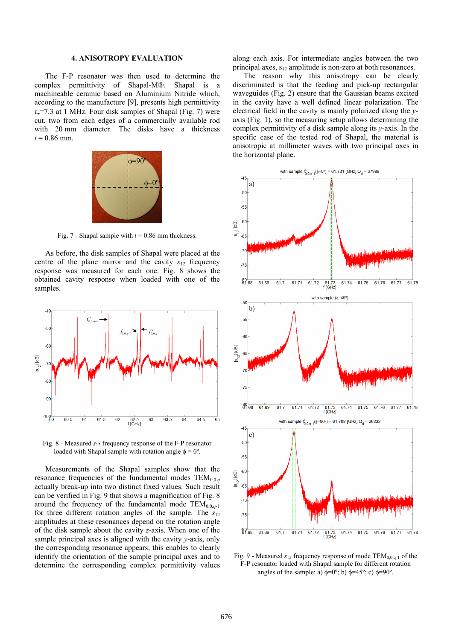## **4. ANISOTROPY EVALUATION**

The F-P resonator was then used to determine the complex permittivity of Shapal-M®. Shapal is a machineable ceramic based on Aluminium Nitride which, according to the manufacture [9], presents high permittivity ε*r*=7.3 at 1 MHz. Four disk samples of Shapal (Fig. 7) were cut, two from each edges of a commercially available rod with 20 mm diameter. The disks have a thickness  $t = 0.86$  mm.



Fig. 7 - Shapal sample with  $t = 0.86$  mm thickness.

As before, the disk samples of Shapal were placed at the centre of the plane mirror and the cavity  $s_{12}$  frequency response was measured for each one. Fig. 8 shows the obtained cavity response when loaded with one of the samples.



Fig. 8 - Measured *s*12 frequency response of the F-P resonator loaded with Shapal sample with rotation angle  $\phi = 0^{\circ}$ .

Measurements of the Shapal samples show that the resonance frequencies of the fundamental modes  $TEM_{0,0,a}$ actually break-up into two distinct fixed values. Such result can be verified in Fig. 9 that shows a magnification of Fig. 8 around the frequency of the fundamental mode  $TEM_{0,0,q-1}$ for three different rotation angles of the sample. The  $s_{12}$ amplitudes at these resonances depend on the rotation angle of the disk sample about the cavity *z*-axis. When one of the sample principal axes is aligned with the cavity *y*-axis, only the corresponding resonance appears; this enables to clearly identify the orientation of the sample principal axes and to determine the corresponding complex permittivity values along each axis. For intermediate angles between the two principal axes,  $s_{12}$  amplitude is non-zero at both resonances.

The reason why this anisotropy can be clearly discriminated is that the feeding and pick-up rectangular waveguides (Fig. 2) ensure that the Gaussian beams excited in the cavity have a well defined linear polarization. The electrical field in the cavity is mainly polarized along the *y*axis (Fig. 1), so the measuring setup allows determining the complex permittivity of a disk sample along its *y*-axis. In the specific case of the tested rod of Shapal, the material is anisotropic at millimeter waves with two principal axes in the horizontal plane.